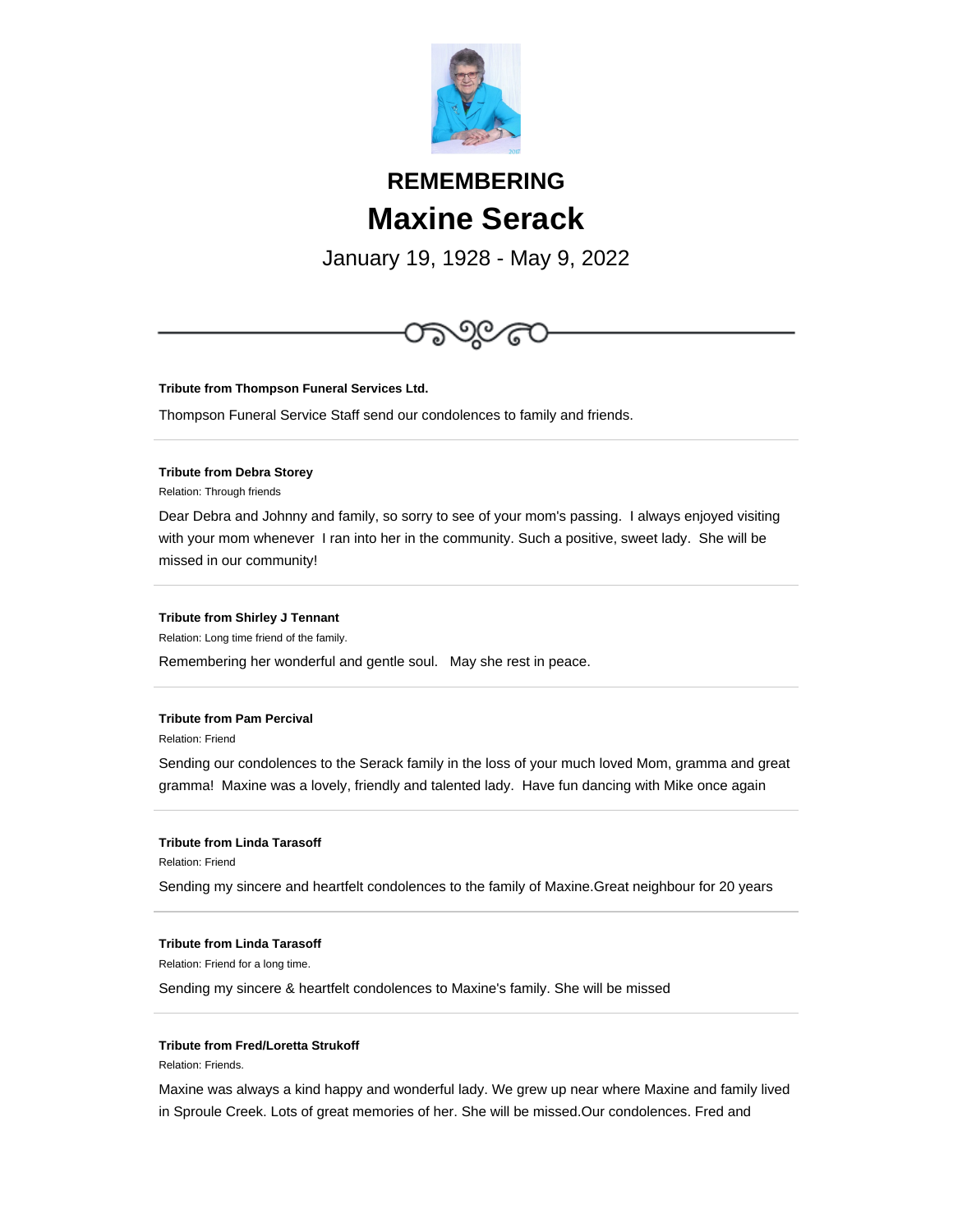

# **REMEMBERING Maxine Serack**

January 19, 1928 - May 9, 2022



**Tribute from Thompson Funeral Services Ltd.**

Thompson Funeral Service Staff send our condolences to family and friends.

## **Tribute from Debra Storey**

Relation: Through friends

Dear Debra and Johnny and family, so sorry to see of your mom's passing. I always enjoyed visiting with your mom whenever I ran into her in the community. Such a positive, sweet lady. She will be missed in our community!

### **Tribute from Shirley J Tennant**

Relation: Long time friend of the family.

Remembering her wonderful and gentle soul. May she rest in peace.

#### **Tribute from Pam Percival**

Relation: Friend

Sending our condolences to the Serack family in the loss of your much loved Mom, gramma and great gramma! Maxine was a lovely, friendly and talented lady. Have fun dancing with Mike once again

#### **Tribute from Linda Tarasoff**

Relation: Friend

Sending my sincere and heartfelt condolences to the family of Maxine.Great neighbour for 20 years

#### **Tribute from Linda Tarasoff**

Relation: Friend for a long time.

Sending my sincere & heartfelt condolences to Maxine's family. She will be missed

#### **Tribute from Fred/Loretta Strukoff**

Relation: Friends.

Maxine was always a kind happy and wonderful lady. We grew up near where Maxine and family lived in Sproule Creek. Lots of great memories of her. She will be missed.Our condolences. Fred and